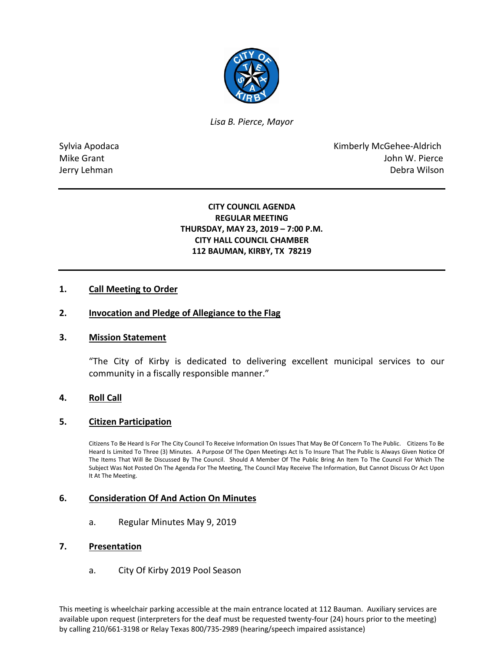

*Lisa B. Pierce, Mayor* 

Sylvia Apodaca **Kimberly McGehee-Aldrich** Mike Grant **Mike Grant** John W. Pierce Jerry Lehman Debra Wilson

# **CITY COUNCIL AGENDA REGULAR MEETING THURSDAY, MAY 23, 2019 – 7:00 P.M. CITY HALL COUNCIL CHAMBER 112 BAUMAN, KIRBY, TX 78219**

### **1. Call Meeting to Order**

### **2. Invocation and Pledge of Allegiance to the Flag**

### **3. Mission Statement**

"The City of Kirby is dedicated to delivering excellent municipal services to our community in a fiscally responsible manner."

### **4. Roll Call**

### **5. Citizen Participation**

Citizens To Be Heard Is For The City Council To Receive Information On Issues That May Be Of Concern To The Public. Citizens To Be Heard Is Limited To Three (3) Minutes. A Purpose Of The Open Meetings Act Is To Insure That The Public Is Always Given Notice Of The Items That Will Be Discussed By The Council. Should A Member Of The Public Bring An Item To The Council For Which The Subject Was Not Posted On The Agenda For The Meeting, The Council May Receive The Information, But Cannot Discuss Or Act Upon It At The Meeting.

### **6. Consideration Of And Action On Minutes**

a. Regular Minutes May 9, 2019

#### **7. Presentation**

a. City Of Kirby 2019 Pool Season

This meeting is wheelchair parking accessible at the main entrance located at 112 Bauman. Auxiliary services are available upon request (interpreters for the deaf must be requested twenty-four (24) hours prior to the meeting) by calling 210/661-3198 or Relay Texas 800/735-2989 (hearing/speech impaired assistance)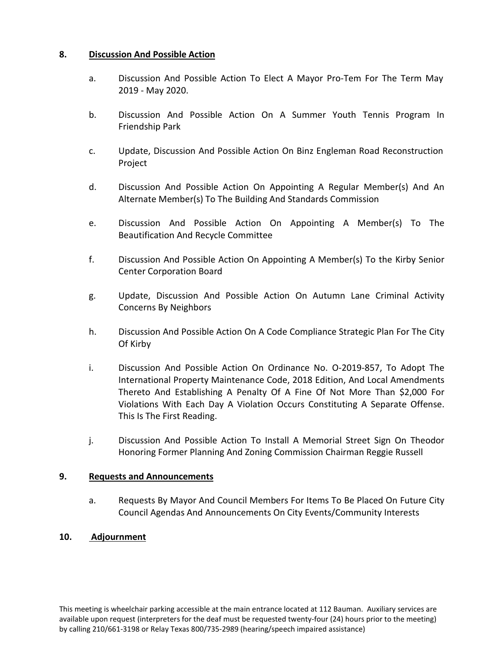# **8. Discussion And Possible Action**

- a. Discussion And Possible Action To Elect A Mayor Pro-Tem For The Term May 2019 - May 2020.
- b. Discussion And Possible Action On A Summer Youth Tennis Program In Friendship Park
- c. Update, Discussion And Possible Action On Binz Engleman Road Reconstruction Project
- d. Discussion And Possible Action On Appointing A Regular Member(s) And An Alternate Member(s) To The Building And Standards Commission
- e. Discussion And Possible Action On Appointing A Member(s) To The Beautification And Recycle Committee
- f. Discussion And Possible Action On Appointing A Member(s) To the Kirby Senior Center Corporation Board
- g. Update, Discussion And Possible Action On Autumn Lane Criminal Activity Concerns By Neighbors
- h. Discussion And Possible Action On A Code Compliance Strategic Plan For The City Of Kirby
- i. Discussion And Possible Action On Ordinance No. O-2019-857, To Adopt The International Property Maintenance Code, 2018 Edition, And Local Amendments Thereto And Establishing A Penalty Of A Fine Of Not More Than \$2,000 For Violations With Each Day A Violation Occurs Constituting A Separate Offense. This Is The First Reading.
- j. Discussion And Possible Action To Install A Memorial Street Sign On Theodor Honoring Former Planning And Zoning Commission Chairman Reggie Russell

### **9. Requests and Announcements**

a. Requests By Mayor And Council Members For Items To Be Placed On Future City Council Agendas And Announcements On City Events/Community Interests

# **10. Adjournment**